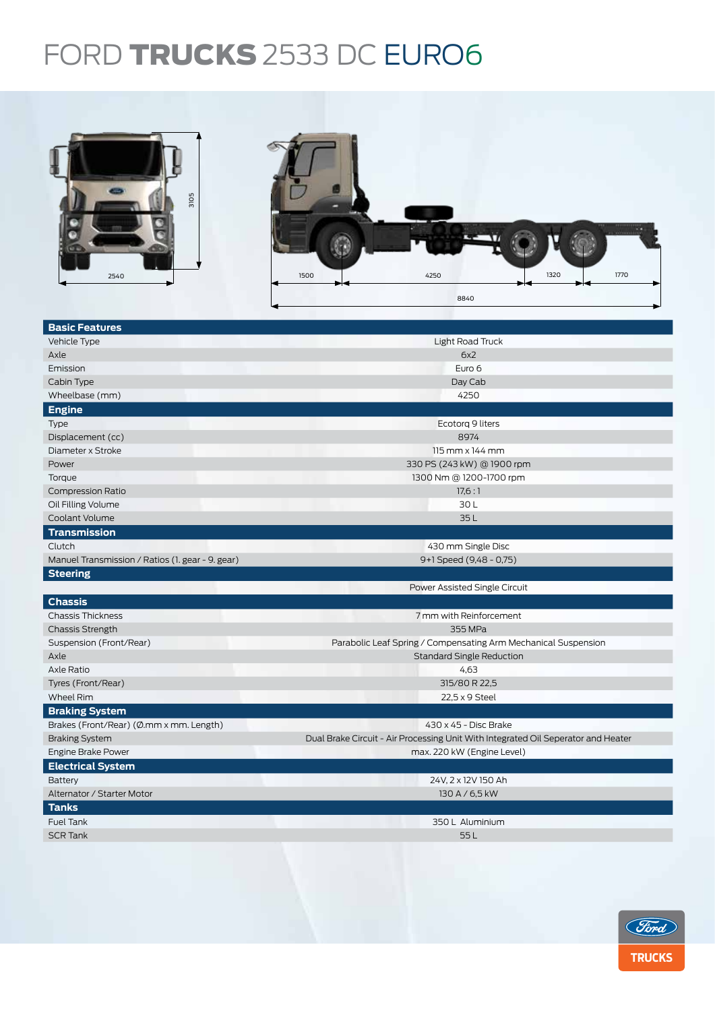## FORD TRUCKS 2533 DC EURO6



| <b>Basic Features</b>                            |                                                                                   |  |  |  |
|--------------------------------------------------|-----------------------------------------------------------------------------------|--|--|--|
| Vehicle Type                                     | Light Road Truck                                                                  |  |  |  |
| Axle                                             | 6x2                                                                               |  |  |  |
| Emission                                         | Euro 6                                                                            |  |  |  |
| Cabin Type                                       | Day Cab                                                                           |  |  |  |
| Wheelbase (mm)                                   | 4250                                                                              |  |  |  |
| <b>Engine</b>                                    |                                                                                   |  |  |  |
| <b>Type</b>                                      | Ecotorg 9 liters                                                                  |  |  |  |
| Displacement (cc)                                | 8974                                                                              |  |  |  |
| Diameter x Stroke                                | $115$ mm $\times$ 144 mm                                                          |  |  |  |
| Power                                            | 330 PS (243 kW) @ 1900 rpm                                                        |  |  |  |
| Torque                                           | 1300 Nm @ 1200-1700 rpm                                                           |  |  |  |
| <b>Compression Ratio</b>                         | 17,6:1                                                                            |  |  |  |
| Oil Filling Volume                               | 30L                                                                               |  |  |  |
| Coolant Volume                                   | 35L                                                                               |  |  |  |
| <b>Transmission</b>                              |                                                                                   |  |  |  |
| Clutch                                           | 430 mm Single Disc                                                                |  |  |  |
| Manuel Transmission / Ratios (1. gear - 9. gear) | 9+1 Speed (9,48 - 0,75)                                                           |  |  |  |
| <b>Steering</b>                                  |                                                                                   |  |  |  |
|                                                  | Power Assisted Single Circuit                                                     |  |  |  |
| <b>Chassis</b>                                   |                                                                                   |  |  |  |
| <b>Chassis Thickness</b>                         | 7 mm with Reinforcement                                                           |  |  |  |
| <b>Chassis Strength</b>                          | 355 MPa                                                                           |  |  |  |
| Suspension (Front/Rear)                          | Parabolic Leaf Spring / Compensating Arm Mechanical Suspension                    |  |  |  |
| Axle                                             | <b>Standard Single Reduction</b>                                                  |  |  |  |
| Axle Ratio                                       | 4,63                                                                              |  |  |  |
| Tyres (Front/Rear)                               | 315/80 R 22,5                                                                     |  |  |  |
| Wheel Rim                                        | 22,5 x 9 Steel                                                                    |  |  |  |
| <b>Braking System</b>                            |                                                                                   |  |  |  |
| Brakes (Front/Rear) (Ø.mm x mm. Length)          | 430 x 45 - Disc Brake                                                             |  |  |  |
| <b>Braking System</b>                            | Dual Brake Circuit - Air Processing Unit With Integrated Oil Seperator and Heater |  |  |  |
| Engine Brake Power                               | max. 220 kW (Engine Level)                                                        |  |  |  |
| <b>Electrical System</b>                         |                                                                                   |  |  |  |
| Battery                                          | 24V, 2 x 12V 150 Ah                                                               |  |  |  |
| Alternator / Starter Motor                       | 130 A / 6.5 kW                                                                    |  |  |  |
| <b>Tanks</b>                                     |                                                                                   |  |  |  |
| Fuel Tank                                        | 350 L Aluminium                                                                   |  |  |  |
| <b>SCR Tank</b>                                  | 55L                                                                               |  |  |  |
|                                                  |                                                                                   |  |  |  |
|                                                  |                                                                                   |  |  |  |